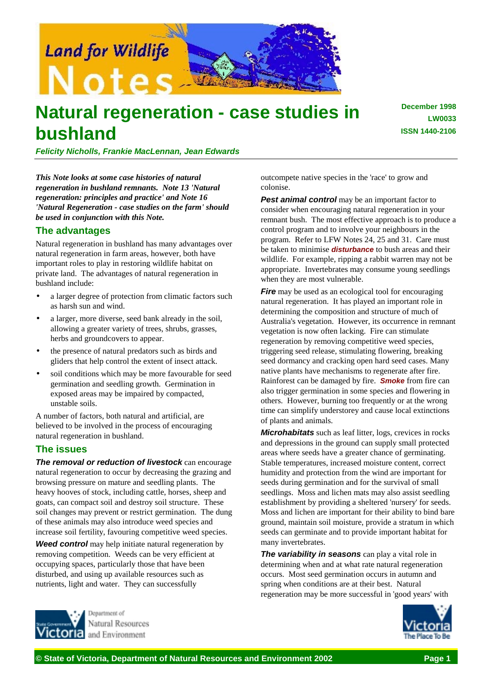

# **Natural regeneration - case studies in bushland**

**December 1998 LW0033 ISSN 1440-2106**

*Felicity Nicholls, Frankie MacLennan, Jean Edwards*

*This Note looks at some case histories of natural regeneration in bushland remnants. Note 13 'Natural regeneration: principles and practice' and Note 16 'Natural Regeneration - case studies on the farm' should be used in conjunction with this Note.*

## **The advantages**

Natural regeneration in bushland has many advantages over natural regeneration in farm areas, however, both have important roles to play in restoring wildlife habitat on private land. The advantages of natural regeneration in bushland include:

- a larger degree of protection from climatic factors such as harsh sun and wind.
- a larger, more diverse, seed bank already in the soil, allowing a greater variety of trees, shrubs, grasses, herbs and groundcovers to appear.
- the presence of natural predators such as birds and gliders that help control the extent of insect attack.
- soil conditions which may be more favourable for seed germination and seedling growth. Germination in exposed areas may be impaired by compacted, unstable soils.

A number of factors, both natural and artificial, are believed to be involved in the process of encouraging natural regeneration in bushland.

## **The issues**

*The removal or reduction of livestock* can encourage natural regeneration to occur by decreasing the grazing and browsing pressure on mature and seedling plants. The heavy hooves of stock, including cattle, horses, sheep and goats, can compact soil and destroy soil structure. These soil changes may prevent or restrict germination. The dung of these animals may also introduce weed species and increase soil fertility, favouring competitive weed species.

**Weed control** may help initiate natural regeneration by removing competition. Weeds can be very efficient at occupying spaces, particularly those that have been disturbed, and using up available resources such as nutrients, light and water. They can successfully

outcompete native species in the 'race' to grow and colonise.

**Pest animal control** may be an important factor to consider when encouraging natural regeneration in your remnant bush. The most effective approach is to produce a control program and to involve your neighbours in the program. Refer to LFW Notes 24, 25 and 31. Care must be taken to minimise *disturbance* to bush areas and their wildlife. For example, ripping a rabbit warren may not be appropriate. Invertebrates may consume young seedlings when they are most vulnerable.

*Fire* may be used as an ecological tool for encouraging natural regeneration. It has played an important role in determining the composition and structure of much of Australia's vegetation. However, its occurrence in remnant vegetation is now often lacking. Fire can stimulate regeneration by removing competitive weed species, triggering seed release, stimulating flowering, breaking seed dormancy and cracking open hard seed cases. Many native plants have mechanisms to regenerate after fire. Rainforest can be damaged by fire. *Smoke* from fire can also trigger germination in some species and flowering in others. However, burning too frequently or at the wrong time can simplify understorey and cause local extinctions of plants and animals.

*Microhabitats* such as leaf litter, logs, crevices in rocks and depressions in the ground can supply small protected areas where seeds have a greater chance of germinating. Stable temperatures, increased moisture content, correct humidity and protection from the wind are important for seeds during germination and for the survival of small seedlings. Moss and lichen mats may also assist seedling establishment by providing a sheltered 'nursery' for seeds. Moss and lichen are important for their ability to bind bare ground, maintain soil moisture, provide a stratum in which seeds can germinate and to provide important habitat for many invertebrates.

*The variability in seasons* can play a vital role in determining when and at what rate natural regeneration occurs. Most seed germination occurs in autumn and spring when conditions are at their best. Natural regeneration may be more successful in 'good years' with



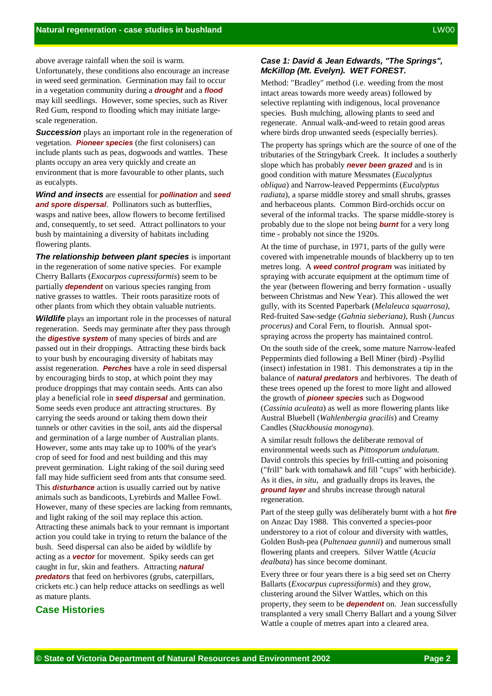above average rainfall when the soil is warm.

Unfortunately, these conditions also encourage an increase in weed seed germination. Germination may fail to occur in a vegetation community during a *drought* and a *flood* may kill seedlings. However, some species, such as River Red Gum, respond to flooding which may initiate largescale regeneration.

**Succession** plays an important role in the regeneration of vegetation. *Pioneer species* (the first colonisers) can include plants such as peas, dogwoods and wattles. These plants occupy an area very quickly and create an environment that is more favourable to other plants, such as eucalypts.

*Wind and insects* are essential for *pollination* and *seed and spore dispersal*. Pollinators such as butterflies, wasps and native bees, allow flowers to become fertilised and, consequently, to set seed. Attract pollinators to your bush by maintaining a diversity of habitats including flowering plants.

*The relationship between plant species* is important in the regeneration of some native species. For example Cherry Ballarts (*Exocarpos cupressiformis*) seem to be partially *dependent* on various species ranging from native grasses to wattles. Their roots parasitize roots of other plants from which they obtain valuable nutrients.

*Wildlife* plays an important role in the processes of natural regeneration. Seeds may germinate after they pass through the *digestive system* of many species of birds and are passed out in their droppings. Attracting these birds back to your bush by encouraging diversity of habitats may assist regeneration. *Perches* have a role in seed dispersal by encouraging birds to stop, at which point they may produce droppings that may contain seeds. Ants can also play a beneficial role in *seed dispersal* and germination. Some seeds even produce ant attracting structures. By carrying the seeds around or taking them down their tunnels or other cavities in the soil, ants aid the dispersal and germination of a large number of Australian plants. However, some ants may take up to 100% of the year's crop of seed for food and nest building and this may prevent germination. Light raking of the soil during seed fall may hide sufficient seed from ants that consume seed. This *disturbance* action is usually carried out by native animals such as bandicoots, Lyrebirds and Mallee Fowl. However, many of these species are lacking from remnants, and light raking of the soil may replace this action. Attracting these animals back to your remnant is important action you could take in trying to return the balance of the bush. Seed dispersal can also be aided by wildlife by acting as a *vector* for movement. Spiky seeds can get caught in fur, skin and feathers. Attracting *natural predators* that feed on herbivores (grubs, caterpillars, crickets etc.) can help reduce attacks on seedlings as well as mature plants.

# **Case Histories**

#### *Case 1: David & Jean Edwards, "The Springs", McKillop (Mt. Evelyn). WET FOREST.*

Method: "Bradley" method (i.e. weeding from the most intact areas towards more weedy areas) followed by selective replanting with indigenous, local provenance species. Bush mulching, allowing plants to seed and regenerate. Annual walk-and-weed to retain good areas where birds drop unwanted seeds (especially berries).

The property has springs which are the source of one of the tributaries of the Stringybark Creek. It includes a southerly slope which has probably *never been grazed* and is in good condition with mature Messmates (*Eucalyptus obliqua*) and Narrow-leaved Peppermints (*Eucalyptus radiata*), a sparse middle storey and small shrubs, grasses and herbaceous plants. Common Bird-orchids occur on several of the informal tracks. The sparse middle-storey is probably due to the slope not being *burnt* for a very long time - probably not since the 1920s.

At the time of purchase, in 1971, parts of the gully were covered with impenetrable mounds of blackberry up to ten metres long. A *weed control program* was initiated by spraying with accurate equipment at the optimum time of the year (between flowering and berry formation - usually between Christmas and New Year). This allowed the wet gully, with its Scented Paperbark (*Melaleuca squarrosa)*, Red-fruited Saw-sedge (*Gahnia sieberiana)*, Rush (*Juncus procerus)* and Coral Fern, to flourish. Annual spotspraying across the property has maintained control.

On the south side of the creek, some mature Narrow-leafed Peppermints died following a Bell Miner (bird) -Psyllid (insect) infestation in 1981. This demonstrates a tip in the balance of *natural predators* and herbivores. The death of these trees opened up the forest to more light and allowed the growth of *pioneer species* such as Dogwood (*Cassinia aculeata*) as well as more flowering plants like Austral Bluebell (*Wahlenbergia gracilis*) and Creamy Candles (*Stackhousia monogyna*).

A similar result follows the deliberate removal of environmental weeds such as *Pittosporum undulatum*. David controls this species by frill-cutting and poisoning ("frill" bark with tomahawk and fill "cups" with herbicide). As it dies, *in situ*, and gradually drops its leaves, the *ground layer* and shrubs increase through natural regeneration.

Part of the steep gully was deliberately burnt with a hot *fire* on Anzac Day 1988. This converted a species-poor understorey to a riot of colour and diversity with wattles, Golden Bush-pea (*Pultenaea gunnii*) and numerous small flowering plants and creepers. Silver Wattle (*Acacia dealbata*) has since become dominant.

Every three or four years there is a big seed set on Cherry Ballarts (*Exocarpus cupressiformis*) and they grow, clustering around the Silver Wattles, which on this property, they seem to be *dependent* on. Jean successfully transplanted a very small Cherry Ballart and a young Silver Wattle a couple of metres apart into a cleared area.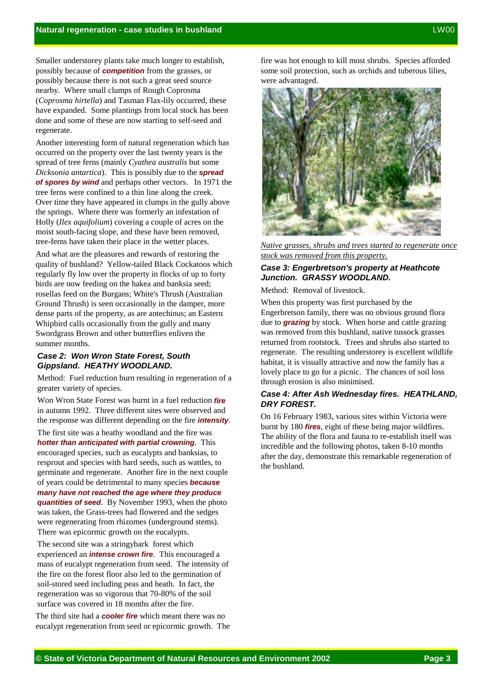Smaller understorey plants take much longer to establish, possibly because of *competition* from the grasses, or possibly because there is not such a great seed source nearby. Where small clumps of Rough Coprosma (*Coprosma hirtella*) and Tasman Flax-lily occurred, these have expanded. Some plantings from local stock has been done and some of these are now starting to self-seed and regenerate.

Another interesting form of natural regeneration which has occurred on the property over the last twenty years is the spread of tree ferns (mainly *Cyathea australis* but some *Dicksonia antartica*). This is possibly due to the *spread of spores by wind* and perhaps other vectors. In 1971 the tree ferns were confined to a thin line along the creek. Over time they have appeared in clumps in the gully above the springs. Where there was formerly an infestation of Holly (*Ilex aquifolium*) covering a couple of acres on the moist south-facing slope, and these have been removed, tree-ferns have taken their place in the wetter places.

And what are the pleasures and rewards of restoring the quality of bushland? Yellow-tailed Black Cockatoos which regularly fly low over the property in flocks of up to forty birds are now feeding on the hakea and banksia seed; rosellas feed on the Burgans; White's Thrush (Australian Ground Thrush) is seen occasionally in the damper, more dense parts of the property, as are antechinus; an Eastern Whipbird calls occasionally from the gully and many Swordgrass Brown and other butterflies enliven the summer months.

#### *Case 2: Won Wron State Forest, South Gippsland. HEATHY WOODLAND.*

Method: Fuel reduction burn resulting in regeneration of a greater variety of species.

Won Wron State Forest was burnt in a fuel reduction *fire* in autumn 1992. Three different sites were observed and the response was different depending on the fire *intensity*.

The first site was a heathy woodland and the fire was *hotter than anticipated with partial crowning*. This encouraged species, such as eucalypts and banksias, to resprout and species with hard seeds, such as wattles, to germinate and regenerate. Another fire in the next couple of years could be detrimental to many species *because many have not reached the age where they produce quantities of seed*. By November 1993, when the photo was taken, the Grass-trees had flowered and the sedges were regenerating from rhizomes (underground stems). There was epicormic growth on the eucalypts.

The second site was a stringybark forest which experienced an *intense crown fire*. This encouraged a mass of eucalypt regeneration from seed. The intensity of the fire on the forest floor also led to the germination of soil-stored seed including peas and heath. In fact, the regeneration was so vigorous that 70-80% of the soil surface was covered in 18 months after the fire.

The third site had a *cooler fire* which meant there was no eucalypt regeneration from seed or epicormic growth. The fire was hot enough to kill most shrubs. Species afforded some soil protection, such as orchids and tuberous lilies, were advantaged.



*Native grasses, shrubs and trees started to regenerate once stock was removed from this property.*

## *Case 3: Engerbretson's property at Heathcote Junction. GRASSY WOODLAND.*

Method: Removal of livestock.

When this property was first purchased by the Engerbretson family, there was no obvious ground flora due to *grazing* by stock. When horse and cattle grazing was removed from this bushland, native tussock grasses returned from rootstock. Trees and shrubs also started to regenerate. The resulting understorey is excellent wildlife habitat, it is visually attractive and now the family has a lovely place to go for a picnic. The chances of soil loss through erosion is also minimised.

#### *Case 4: After Ash Wednesday fires. HEATHLAND, DRY FOREST.*

On 16 February 1983, various sites within Victoria were burnt by 180 *fires*, eight of these being major wildfires. The ability of the flora and fauna to re-establish itself was incredible and the following photos, taken 8-10 months after the day, demonstrate this remarkable regeneration of the bushland.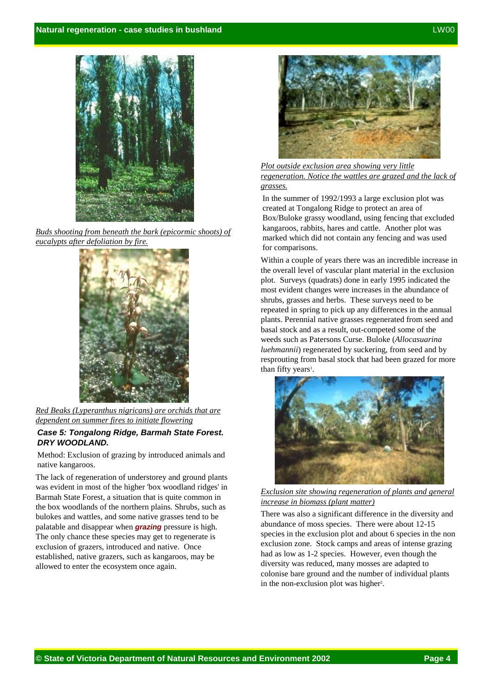

*Buds shooting from beneath the bark (epicormic shoots) of eucalypts after defoliation by fire.*



*Red Beaks (Lyperanthus nigricans) are orchids that are dependent on summer fires to initiate flowering*

#### *Case 5: Tongalong Ridge, Barmah State Forest. DRY WOODLAND.*

Method: Exclusion of grazing by introduced animals and native kangaroos.

The lack of regeneration of understorey and ground plants was evident in most of the higher 'box woodland ridges' in Barmah State Forest, a situation that is quite common in the box woodlands of the northern plains. Shrubs, such as bulokes and wattles, and some native grasses tend to be palatable and disappear when *grazing* pressure is high. The only chance these species may get to regenerate is exclusion of grazers, introduced and native. Once established, native grazers, such as kangaroos, may be allowed to enter the ecosystem once again.



*Plot outside exclusion area showing very little regeneration. Notice the wattles are grazed and the lack of grasses.*

In the summer of 1992/1993 a large exclusion plot was created at Tongalong Ridge to protect an area of Box/Buloke grassy woodland, using fencing that excluded kangaroos, rabbits, hares and cattle. Another plot was marked which did not contain any fencing and was used for comparisons.

Within a couple of years there was an incredible increase in the overall level of vascular plant material in the exclusion plot. Surveys (quadrats) done in early 1995 indicated the most evident changes were increases in the abundance of shrubs, grasses and herbs. These surveys need to be repeated in spring to pick up any differences in the annual plants. Perennial native grasses regenerated from seed and basal stock and as a result, out-competed some of the weeds such as Patersons Curse. Buloke (*Allocasuarina luehmannii*) regenerated by suckering, from seed and by resprouting from basal stock that had been grazed for more than fifty years<sup>1</sup>.



*Exclusion site showing regeneration of plants and general increase in biomass (plant matter)*

There was also a significant difference in the diversity and abundance of moss species. There were about 12-15 species in the exclusion plot and about 6 species in the non exclusion zone. Stock camps and areas of intense grazing had as low as 1-2 species. However, even though the diversity was reduced, many mosses are adapted to colonise bare ground and the number of individual plants in the non-exclusion plot was higher<sup>2</sup>.